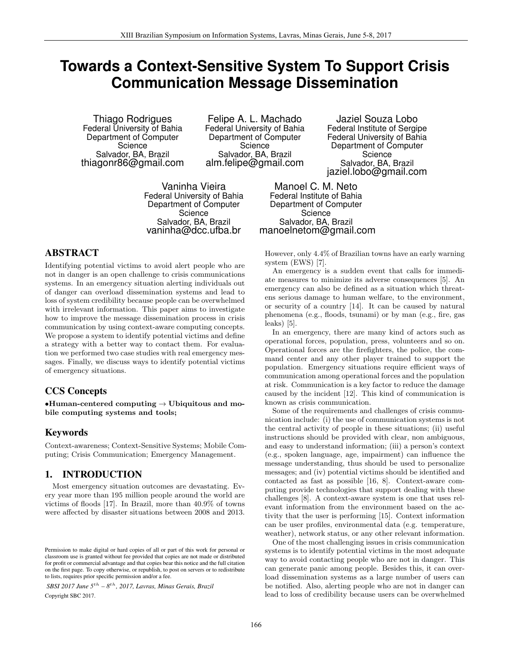# **Towards a Context-Sensitive System To Support Crisis Communication Message Dissemination**

Thiago Rodrigues Federal University of Bahia Department of Computer **Science** Salvador, BA, Brazil thiagonr86@gmail.com

Felipe A. L. Machado Federal University of Bahia Department of Computer **Science** Salvador, BA, Brazil alm.felipe@gmail.com

Vaninha Vieira Federal University of Bahia Department of Computer Science Salvador, BA, Brazil vaninha@dcc.ufba.br

# ABSTRACT

Identifying potential victims to avoid alert people who are not in danger is an open challenge to crisis communications systems. In an emergency situation alerting individuals out of danger can overload dissemination systems and lead to loss of system credibility because people can be overwhelmed with irrelevant information. This paper aims to investigate how to improve the message dissemination process in crisis communication by using context-aware computing concepts. We propose a system to identify potential victims and define a strategy with a better way to contact them. For evaluation we performed two case studies with real emergency messages. Finally, we discuss ways to identify potential victims of emergency situations.

# CCS Concepts

 $\bullet$ Human-centered computing  $\rightarrow$  Ubiquitous and mobile computing systems and tools;

# Keywords

Context-awareness; Context-Sensitive Systems; Mobile Computing; Crisis Communication; Emergency Management.

# 1. INTRODUCTION

Most emergency situation outcomes are devastating. Every year more than 195 million people around the world are victims of floods [17]. In Brazil, more than 40.9% of towns were affected by disaster situations between 2008 and 2013.

*SBSI 2017 June 5th – 8th, 2017, Lavras, Minas Gerais, Brazil* Copyright SBC 2017.

Jaziel Souza Lobo Federal Institute of Sergipe Federal University of Bahia Department of Computer Science Salvador, BA, Brazil jaziel.lobo@gmail.com

Manoel C. M. Neto Federal Institute of Bahia Department of Computer Science Salvador, BA, Brazil manoelnetom@gmail.com

However, only 4.4% of Brazilian towns have an early warning system (EWS) [7].

An emergency is a sudden event that calls for immediate measures to minimize its adverse consequences [5]. An emergency can also be defined as a situation which threatens serious damage to human welfare, to the environment, or security of a country [14]. It can be caused by natural phenomena (e.g., floods, tsunami) or by man (e.g., fire, gas  $\text{leaks}$  [5].

In an emergency, there are many kind of actors such as operational forces, population, press, volunteers and so on. Operational forces are the firefighters, the police, the command center and any other player trained to support the population. Emergency situations require efficient ways of communication among operational forces and the population at risk. Communication is a key factor to reduce the damage caused by the incident [12]. This kind of communication is known as crisis communication.

Some of the requirements and challenges of crisis communication include: (i) the use of communication systems is not the central activity of people in these situations; (ii) useful instructions should be provided with clear, non ambiguous, and easy to understand information; (iii) a person's context (e.g., spoken language, age, impairment) can influence the message understanding, thus should be used to personalize messages; and (iv) potential victims should be identified and contacted as fast as possible [16, 8]. Context-aware computing provide technologies that support dealing with these challenges [8]. A context-aware system is one that uses relevant information from the environment based on the activity that the user is performing [15]. Context information can be user profiles, environmental data (e.g. temperature, weather), network status, or any other relevant information.

One of the most challenging issues in crisis communication systems is to identify potential victims in the most adequate way to avoid contacting people who are not in danger. This can generate panic among people. Besides this, it can overload dissemination systems as a large number of users can be notified. Also, alerting people who are not in danger can lead to loss of credibility because users can be overwhelmed

Permission to make digital or hard copies of all or part of this work for personal or classroom use is granted without fee provided that copies are not made or distributed for profit or commercial advantage and that copies bear this notice and the full citation on the first page. To copy otherwise, or republish, to post on servers or to redistribute to lists, requires prior specific permission and/or a fee.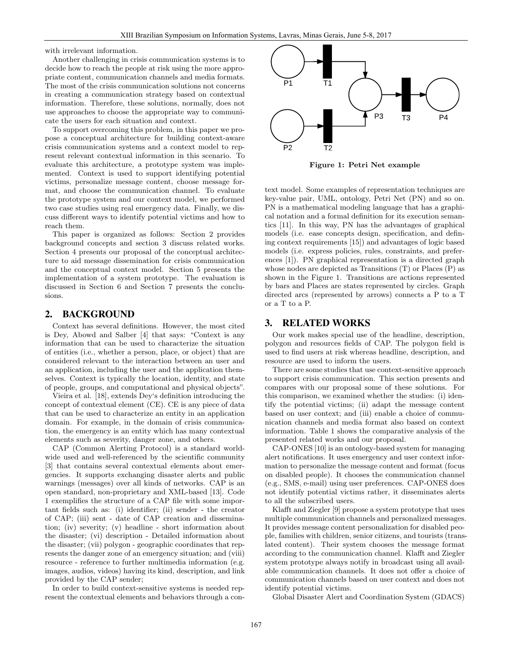with irrelevant information.

Another challenging in crisis communication systems is to decide how to reach the people at risk using the more appropriate content, communication channels and media formats. The most of the crisis communication solutions not concerns in creating a communication strategy based on contextual information. Therefore, these solutions, normally, does not use approaches to choose the appropriate way to communicate the users for each situation and context.

To support overcoming this problem, in this paper we propose a conceptual architecture for building context-aware crisis communication systems and a context model to represent relevant contextual information in this scenario. To evaluate this architecture, a prototype system was implemented. Context is used to support identifying potential victims, personalize message content, choose message format, and choose the communication channel. To evaluate the prototype system and our context model, we performed two case studies using real emergency data. Finally, we discuss different ways to identify potential victims and how to reach them.

This paper is organized as follows: Section 2 provides background concepts and section 3 discuss related works. Section 4 presents our proposal of the conceptual architecture to aid message dissemination for crisis communication and the conceptual context model. Section 5 presents the implementation of a system prototype. The evaluation is discussed in Section 6 and Section 7 presents the conclusions.

#### 2. BACKGROUND

Context has several definitions. However, the most cited is Dey, Abowd and Salber [4] that says: "Context is any information that can be used to characterize the situation of entities (i.e., whether a person, place, or object) that are considered relevant to the interaction between an user and an application, including the user and the application themselves. Context is typically the location, identity, and state of people, groups, and computational and physical objects".

Vieira et al. [18], extends Dey's definition introducing the concept of contextual element (CE). CE is any piece of data that can be used to characterize an entity in an application domain. For example, in the domain of crisis communication, the emergency is an entity which has many contextual elements such as severity, danger zone, and others.

CAP (Common Alerting Protocol) is a standard worldwide used and well-referenced by the scientific community [3] that contains several contextual elements about emergencies. It supports exchanging disaster alerts and public warnings (messages) over all kinds of networks. CAP is an open standard, non-proprietary and XML-based [13]. Code 1 exemplifies the structure of a CAP file with some important fields such as: (i) identifier; (ii) sender - the creator of CAP; (iii) sent - date of CAP creation and dissemination; (iv) severity; (v) headline - short information about the disaster; (vi) description - Detailed information about the disaster; (vii) polygon - geographic coordinates that represents the danger zone of an emergency situation; and (viii) resource - reference to further multimedia information (e.g. images, audios, videos) having its kind, description, and link provided by the CAP sender;

In order to build context-sensitive systems is needed represent the contextual elements and behaviors through a con-



Figure 1: Petri Net example

text model. Some examples of representation techniques are key-value pair, UML, ontology, Petri Net (PN) and so on. PN is a mathematical modeling language that has a graphical notation and a formal definition for its execution semantics [11]. In this way, PN has the advantages of graphical models (i.e. ease concepts design, specification, and defining context requirements [15]) and advantages of logic based models (i.e. express policies, rules, constraints, and preferences [1]). PN graphical representation is a directed graph whose nodes are depicted as Transitions (T) or Places (P) as shown in the Figure 1. Transitions are actions represented by bars and Places are states represented by circles. Graph directed arcs (represented by arrows) connects a P to a T or a T to a P.

#### 3. RELATED WORKS

Our work makes special use of the headline, description, polygon and resources fields of CAP. The polygon field is used to find users at risk whereas headline, description, and resource are used to inform the users.

There are some studies that use context-sensitive approach to support crisis communication. This section presents and compares with our proposal some of these solutions. For this comparison, we examined whether the studies: (i) identify the potential victims; (ii) adapt the message content based on user context; and (iii) enable a choice of communication channels and media format also based on context information. Table 1 shows the comparative analysis of the presented related works and our proposal.

CAP-ONES [10] is an ontology-based system for managing alert notifications. It uses emergency and user context information to personalize the message content and format (focus on disabled people). It chooses the communication channel (e.g., SMS, e-mail) using user preferences. CAP-ONES does not identify potential victims rather, it disseminates alerts to all the subscribed users.

Klafft and Ziegler [9] propose a system prototype that uses multiple communication channels and personalized messages. It provides message content personalization for disabled people, families with children, senior citizens, and tourists (translated content). Their system chooses the message format according to the communication channel. Klafft and Ziegler system prototype always notify in broadcast using all available communication channels. It does not offer a choice of communication channels based on user context and does not identify potential victims.

Global Disaster Alert and Coordination System (GDACS)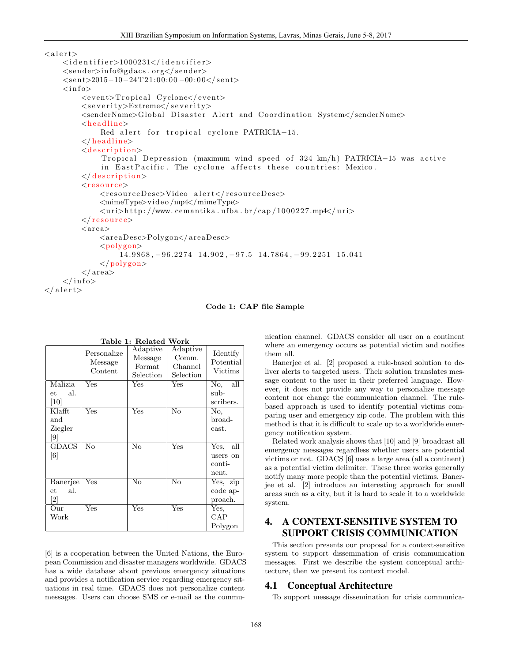```
<alert>
    <identifier>1000231</identifier>
    <sender>info@gdacs . org</sender>
    \langlesent>2015-10-24T21:00:00-00:00</sent>
    <info>
        <event>Tropical Cyclone</event>
        <severity>Extreme</severity>
        <senderName>Global Disaster Alert and Coordination System</senderName>
        <headline>
             Red alert for tropical cyclone PATRICIA-15.
        </ headline>
        <description>
             Tropical Depression (maximum wind speed of 324 \text{ km/h}) PATRICIA-15 was active
             in EastPacific. The cyclone affects these countries: Mexico.
        </ description>
        <resource>
             <resourceDesc>Video alert</resourceDesc>
             <mimeType>vi d e o /mp4</mimeType>
             <uri>h t t p : //www. cemantika . u fba . br / cap / 1 0 0 0 2 2 7.mp4</uri>
        </ resource>
        <area>
             <areaDesc>Polygon</areaDesc>
             <polygon>
                 14.9868, 96.2274 14.902, 97.5 14.7864, 99.2251 15.041
             </ polygon>
        </area>
    </info>
</alert>
```
#### Code 1: CAP file Sample

|                   | Personalize<br>Message<br>Content | Adaptive<br>Message<br>$\rm Format$<br>Selection | Adaptive<br>Comm.<br>Channel<br>Selection | Identify<br>Potential<br>Victims |
|-------------------|-----------------------------------|--------------------------------------------------|-------------------------------------------|----------------------------------|
| Malizia           | Yes                               | Yes                                              | Yes                                       | No.<br>all                       |
| al.<br>еt         |                                   |                                                  |                                           | sub-                             |
| [10]              |                                   |                                                  |                                           | scribers.                        |
| Klafft            | $\rm \bar{Y}e\rm s$               | Yes                                              | No                                        | No,                              |
| and               |                                   |                                                  |                                           | broad-                           |
| Ziegler           |                                   |                                                  |                                           | cast.                            |
|                   |                                   |                                                  |                                           |                                  |
| <b>GDACS</b>      | No                                | No                                               | Yes                                       | all<br>Yes,                      |
| $\lceil 6 \rceil$ |                                   |                                                  |                                           | users on                         |
|                   |                                   |                                                  |                                           | conti-                           |
|                   |                                   |                                                  |                                           | nent.                            |
| Banerjee          | Yes                               | $\rm No$                                         | No                                        | Yes, zip                         |
| al.<br>et         |                                   |                                                  |                                           | code ap-                         |
| $\left[ 2\right]$ |                                   |                                                  |                                           | proach.                          |
| Our               | Yes                               | Yes                                              | Yes                                       | Yes,                             |
| Work              |                                   |                                                  |                                           | CAP                              |
|                   |                                   |                                                  |                                           | Polygon                          |

# Table 1: Related Work

[6] is a cooperation between the United Nations, the European Commission and disaster managers worldwide. GDACS has a wide database about previous emergency situations and provides a notification service regarding emergency situations in real time. GDACS does not personalize content messages. Users can choose SMS or e-mail as the communication channel. GDACS consider all user on a continent where an emergency occurs as potential victim and notifies them all.

Banerjee et al. [2] proposed a rule-based solution to deliver alerts to targeted users. Their solution translates message content to the user in their preferred language. However, it does not provide any way to personalize message content nor change the communication channel. The rulebased approach is used to identify potential victims comparing user and emergency zip code. The problem with this method is that it is difficult to scale up to a worldwide emergency notification system.

Related work analysis shows that [10] and [9] broadcast all emergency messages regardless whether users are potential victims or not. GDACS [6] uses a large area (all a continent) as a potential victim delimiter. These three works generally notify many more people than the potential victims. Banerjee et al. [2] introduce an interesting approach for small areas such as a city, but it is hard to scale it to a worldwide system.

# 4. A CONTEXT-SENSITIVE SYSTEM TO SUPPORT CRISIS COMMUNICATION

This section presents our proposal for a context-sensitive system to support dissemination of crisis communication messages. First we describe the system conceptual architecture, then we present its context model.

#### 4.1 Conceptual Architecture

To support message dissemination for crisis communica-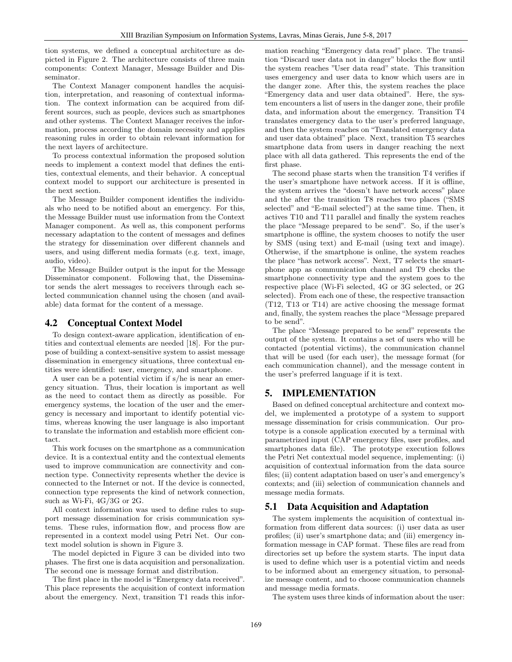tion systems, we defined a conceptual architecture as depicted in Figure 2. The architecture consists of three main components: Context Manager, Message Builder and Disseminator.

The Context Manager component handles the acquisition, interpretation, and reasoning of contextual information. The context information can be acquired from different sources, such as people, devices such as smartphones and other systems. The Context Manager receives the information, process according the domain necessity and applies reasoning rules in order to obtain relevant information for the next layers of architecture.

To process contextual information the proposed solution needs to implement a context model that defines the entities, contextual elements, and their behavior. A conceptual context model to support our architecture is presented in the next section.

The Message Builder component identifies the individuals who need to be notified about an emergency. For this, the Message Builder must use information from the Context Manager component. As well as, this component performs necessary adaptation to the content of messages and defines the strategy for dissemination over different channels and users, and using different media formats (e.g. text, image, audio, video).

The Message Builder output is the input for the Message Disseminator component. Following that, the Disseminator sends the alert messages to receivers through each selected communication channel using the chosen (and available) data format for the content of a message.

#### 4.2 Conceptual Context Model

To design context-aware application, identification of entities and contextual elements are needed [18]. For the purpose of building a context-sensitive system to assist message dissemination in emergency situations, three contextual entities were identified: user, emergency, and smartphone.

A user can be a potential victim if s/he is near an emergency situation. Thus, their location is important as well as the need to contact them as directly as possible. For emergency systems, the location of the user and the emergency is necessary and important to identify potential victims, whereas knowing the user language is also important to translate the information and establish more efficient contact.

This work focuses on the smartphone as a communication device. It is a contextual entity and the contextual elements used to improve communication are connectivity and connection type. Connectivity represents whether the device is connected to the Internet or not. If the device is connected, connection type represents the kind of network connection, such as Wi-Fi, 4G/3G or 2G.

All context information was used to define rules to support message dissemination for crisis communication systems. These rules, information flow, and process flow are represented in a context model using Petri Net. Our context model solution is shown in Figure 3.

The model depicted in Figure 3 can be divided into two phases. The first one is data acquisition and personalization. The second one is message format and distribution.

The first place in the model is "Emergency data received". This place represents the acquisition of context information about the emergency. Next, transition T1 reads this information reaching "Emergency data read" place. The transition "Discard user data not in danger" blocks the flow until the system reaches "User data read" state. This transition uses emergency and user data to know which users are in the danger zone. After this, the system reaches the place "Emergency data and user data obtained". Here, the system encounters a list of users in the danger zone, their profile data, and information about the emergency. Transition T4 translates emergency data to the user's preferred language, and then the system reaches on "Translated emergency data and user data obtained" place. Next, transition T5 searches smartphone data from users in danger reaching the next place with all data gathered. This represents the end of the first phase.

The second phase starts when the transition T4 verifies if the user's smartphone have network access. If it is offline, the system arrives the "doesn't have network access" place and the after the transition T8 reaches two places ("SMS selected" and "E-mail selected") at the same time. Then, it actives T10 and T11 parallel and finally the system reaches the place "Message prepared to be send". So, if the user's smartphone is offline, the system chooses to notify the user by SMS (using text) and E-mail (using text and image). Otherwise, if the smartphone is online, the system reaches the place "has network access". Next, T7 selects the smartphone app as communication channel and T9 checks the smartphone connectivity type and the system goes to the respective place (Wi-Fi selected, 4G or 3G selected, or 2G selected). From each one of these, the respective transaction (T12, T13 or T14) are active choosing the message format and, finally, the system reaches the place "Message prepared to be send".

The place "Message prepared to be send" represents the output of the system. It contains a set of users who will be contacted (potential victims), the communication channel that will be used (for each user), the message format (for each communication channel), and the message content in the user's preferred language if it is text.

# 5. IMPLEMENTATION

Based on defined conceptual architecture and context model, we implemented a prototype of a system to support message dissemination for crisis communication. Our prototype is a console application executed by a terminal with parametrized input (CAP emergency files, user profiles, and smartphones data file). The prototype execution follows the Petri Net contextual model sequence, implementing: (i) acquisition of contextual information from the data source files; (ii) content adaptation based on user's and emergency's contexts; and (iii) selection of communication channels and message media formats.

#### 5.1 Data Acquisition and Adaptation

The system implements the acquisition of contextual information from different data sources: (i) user data as user profiles; (ii) user's smartphone data; and (iii) emergency information message in CAP format. These files are read from directories set up before the system starts. The input data is used to define which user is a potential victim and needs to be informed about an emergency situation, to personalize message content, and to choose communication channels and message media formats.

The system uses three kinds of information about the user: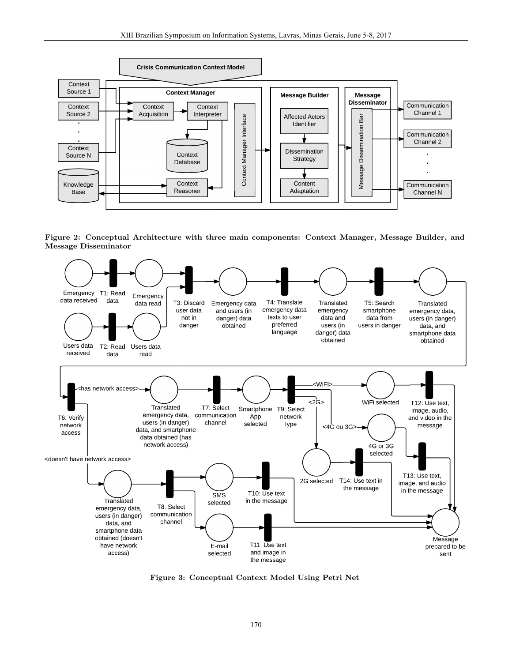

Figure 2: Conceptual Architecture with three main components: Context Manager, Message Builder, and Message Disseminator



Figure 3: Conceptual Context Model Using Petri Net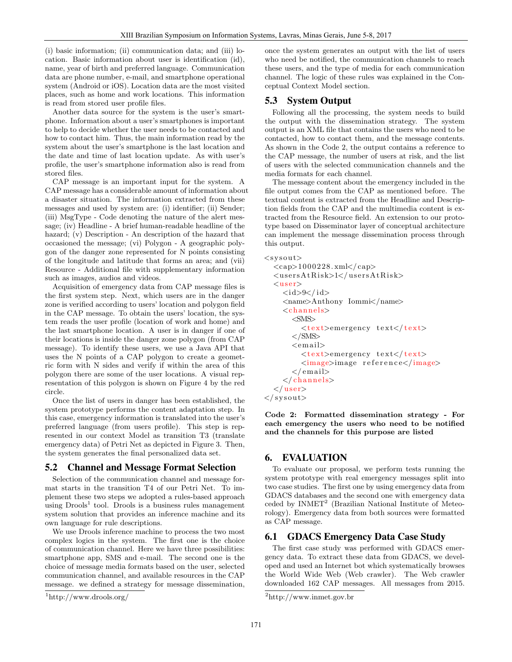(i) basic information; (ii) communication data; and (iii) location. Basic information about user is identification (id), name, year of birth and preferred language. Communication data are phone number, e-mail, and smartphone operational system (Android or iOS). Location data are the most visited places, such as home and work locations. This information is read from stored user profile files.

Another data source for the system is the user's smartphone. Information about a user's smartphones is important to help to decide whether the user needs to be contacted and how to contact him. Thus, the main information read by the system about the user's smartphone is the last location and the date and time of last location update. As with user's profile, the user's smartphone information also is read from stored files.

CAP message is an important input for the system. A CAP message has a considerable amount of information about a disaster situation. The information extracted from these messages and used by system are: (i) identifier; (ii) Sender; (iii) MsgType - Code denoting the nature of the alert message; (iv) Headline - A brief human-readable headline of the hazard; (v) Description - An description of the hazard that occasioned the message; (vi) Polygon - A geographic polygon of the danger zone represented for N points consisting of the longitude and latitude that forms an area; and (vii) Resource - Additional file with supplementary information such as images, audios and videos.

Acquisition of emergency data from CAP message files is the first system step. Next, which users are in the danger zone is verified according to users' location and polygon field in the CAP message. To obtain the users' location, the system reads the user profile (location of work and home) and the last smartphone location. A user is in danger if one of their locations is inside the danger zone polygon (from CAP message). To identify these users, we use a Java API that uses the N points of a CAP polygon to create a geometric form with N sides and verify if within the area of this polygon there are some of the user locations. A visual representation of this polygon is shown on Figure 4 by the red circle.

Once the list of users in danger has been established, the system prototype performs the content adaptation step. In this case, emergency information is translated into the user's preferred language (from users profile). This step is represented in our context Model as transition T3 (translate emergency data) of Petri Net as depicted in Figure 3. Then, the system generates the final personalized data set.

#### 5.2 Channel and Message Format Selection

Selection of the communication channel and message format starts in the transition T4 of our Petri Net. To implement these two steps we adopted a rules-based approach using  $D\text{rools}^1$  tool. Drools is a business rules management system solution that provides an inference machine and its own language for rule descriptions.

We use Drools inference machine to process the two most complex logics in the system. The first one is the choice of communication channel. Here we have three possibilities: smartphone app, SMS and e-mail. The second one is the choice of message media formats based on the user, selected communication channel, and available resources in the CAP message. we defined a strategy for message dissemination, once the system generates an output with the list of users who need be notified, the communication channels to reach these users, and the type of media for each communication channel. The logic of these rules was explained in the Conceptual Context Model section.

## 5.3 System Output

Following all the processing, the system needs to build the output with the dissemination strategy. The system output is an XML file that contains the users who need to be contacted, how to contact them, and the message contents. As shown in the Code 2, the output contains a reference to the CAP message, the number of users at risk, and the list of users with the selected communication channels and the media formats for each channel.

The message content about the emergency included in the file output comes from the CAP as mentioned before. The textual content is extracted from the Headline and Description fields from the CAP and the multimedia content is extracted from the Resource field. An extension to our prototype based on Disseminator layer of conceptual architecture can implement the message dissemination process through this output.

```
<sysout>
  <cap>1000228. xml</cap>
  <usersAtRisk>1</usersAtRisk>
  <user>
    <i d>9</id>
    <name>Anthony Iommi</name>
    <channels>
      <SMS>
        <text>emergency text</ text>
      </SMS>
      <email>
        <text>emergency text</ text>
        <image>image re ference</image>
      </email>
    </ channels>
  </ user>
</sysout>
```
Code 2: Formatted dissemination strategy - For each emergency the users who need to be notified and the channels for this purpose are listed

#### 6. EVALUATION

To evaluate our proposal, we perform tests running the system prototype with real emergency messages split into two case studies. The first one by using emergency data from GDACS databases and the second one with emergency data ceded by  $INMET<sup>2</sup>$  (Brazilian National Institute of Meteorology). Emergency data from both sources were formatted as CAP message.

#### 6.1 GDACS Emergency Data Case Study

The first case study was performed with GDACS emergency data. To extract these data from GDACS, we developed and used an Internet bot which systematically browses the World Wide Web (Web crawler). The Web crawler downloaded 162 CAP messages. All messages from 2015.

<sup>1</sup>http://www.drools.org/

<sup>2</sup>http://www.inmet.gov.br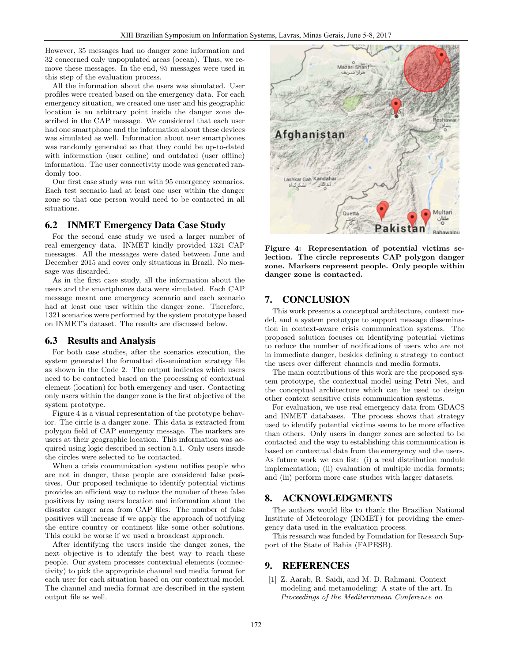However, 35 messages had no danger zone information and 32 concerned only unpopulated areas (ocean). Thus, we remove these messages. In the end, 95 messages were used in this step of the evaluation process.

All the information about the users was simulated. User profiles were created based on the emergency data. For each emergency situation, we created one user and his geographic location is an arbitrary point inside the danger zone described in the CAP message. We considered that each user had one smartphone and the information about these devices was simulated as well. Information about user smartphones was randomly generated so that they could be up-to-dated with information (user online) and outdated (user offline) information. The user connectivity mode was generated randomly too.

Our first case study was run with 95 emergency scenarios. Each test scenario had at least one user within the danger zone so that one person would need to be contacted in all situations.

## 6.2 INMET Emergency Data Case Study

For the second case study we used a larger number of real emergency data. INMET kindly provided 1321 CAP messages. All the messages were dated between June and December 2015 and cover only situations in Brazil. No message was discarded.

As in the first case study, all the information about the users and the smartphones data were simulated. Each CAP message meant one emergency scenario and each scenario had at least one user within the danger zone. Therefore, 1321 scenarios were performed by the system prototype based on INMET's dataset. The results are discussed below.

#### 6.3 Results and Analysis

For both case studies, after the scenarios execution, the system generated the formatted dissemination strategy file as shown in the Code 2. The output indicates which users need to be contacted based on the processing of contextual element (location) for both emergency and user. Contacting only users within the danger zone is the first objective of the system prototype.

Figure 4 is a visual representation of the prototype behavior. The circle is a danger zone. This data is extracted from polygon field of CAP emergency message. The markers are users at their geographic location. This information was acquired using logic described in section 5.1. Only users inside the circles were selected to be contacted.

When a crisis communication system notifies people who are not in danger, these people are considered false positives. Our proposed technique to identify potential victims provides an efficient way to reduce the number of these false positives by using users location and information about the disaster danger area from CAP files. The number of false positives will increase if we apply the approach of notifying the entire country or continent like some other solutions. This could be worse if we used a broadcast approach.

After identifying the users inside the danger zones, the next objective is to identify the best way to reach these people. Our system processes contextual elements (connectivity) to pick the appropriate channel and media format for each user for each situation based on our contextual model. The channel and media format are described in the system output file as well.



Figure 4: Representation of potential victims selection. The circle represents CAP polygon danger zone. Markers represent people. Only people within danger zone is contacted.

# 7. CONCLUSION

This work presents a conceptual architecture, context model, and a system prototype to support message dissemination in context-aware crisis communication systems. The proposed solution focuses on identifying potential victims to reduce the number of notifications of users who are not in immediate danger, besides defining a strategy to contact the users over different channels and media formats.

The main contributions of this work are the proposed system prototype, the contextual model using Petri Net, and the conceptual architecture which can be used to design other context sensitive crisis communication systems.

For evaluation, we use real emergency data from GDACS and INMET databases. The process shows that strategy used to identify potential victims seems to be more effective than others. Only users in danger zones are selected to be contacted and the way to establishing this communication is based on contextual data from the emergency and the users. As future work we can list: (i) a real distribution module implementation; (ii) evaluation of multiple media formats; and (iii) perform more case studies with larger datasets.

#### 8. ACKNOWLEDGMENTS

The authors would like to thank the Brazilian National Institute of Meteorology (INMET) for providing the emergency data used in the evaluation process.

This research was funded by Foundation for Research Support of the State of Bahia (FAPESB).

# 9. REFERENCES

[1] Z. Aarab, R. Saidi, and M. D. Rahmani. Context modeling and metamodeling: A state of the art. In *Proceedings of the Mediterranean Conference on*